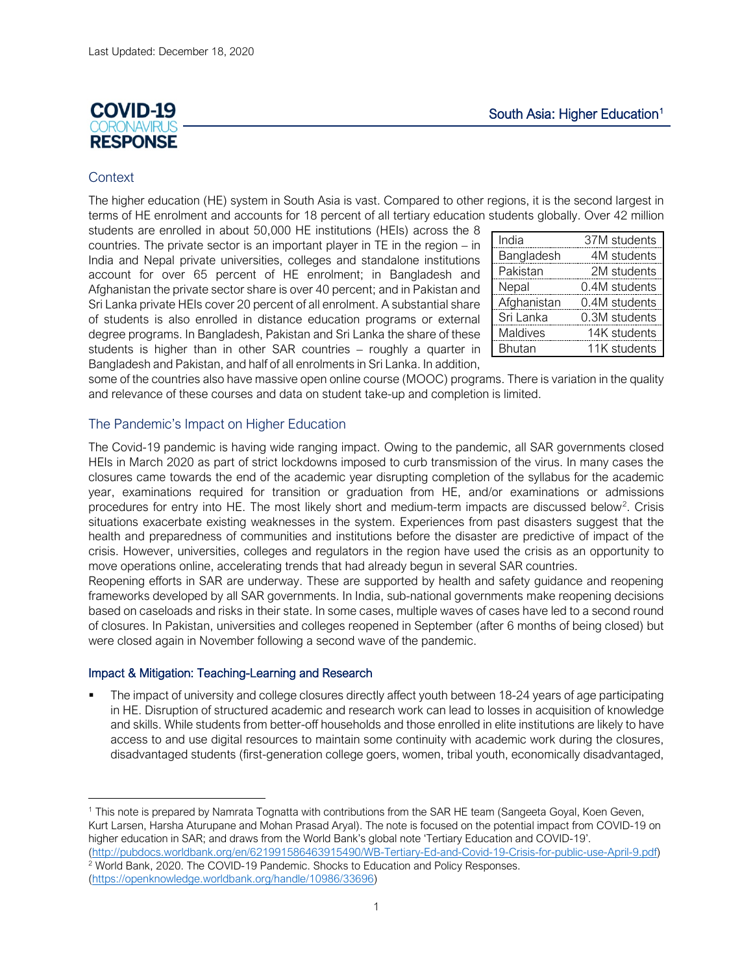# **COVID-19 IRONIAL RESPONSE**

## **Context**

The higher education (HE) system in South Asia is vast. Compared to other regions, it is the second largest in terms of HE enrolment and accounts for 18 percent of all tertiary education students globally. Over 42 million

students are enrolled in about 50,000 HE institutions (HEIs) across the 8 countries. The private sector is an important player in TE in the region – in India and Nepal private universities, colleges and standalone institutions account for over 65 percent of HE enrolment; in Bangladesh and Afghanistan the private sector share is over 40 percent; and in Pakistan and Sri Lanka private HEIs cover 20 percent of all enrolment. A substantial share of students is also enrolled in distance education programs or external degree programs. In Bangladesh, Pakistan and Sri Lanka the share of these students is higher than in other SAR countries – roughly a quarter in Bangladesh and Pakistan, and half of all enrolments in Sri Lanka. In addition,

| 37M students  |
|---------------|
|               |
| 4M students   |
| 2M students   |
| 0.4M students |
| 0.4M students |
| 0.3M students |
| 14K students  |
| 11K students  |
|               |

some of the countries also have massive open online course (MOOC) programs. There is variation in the quality and relevance of these courses and data on student take-up and completion is limited.

### The Pandemic's Impact on Higher Education

The Covid-19 pandemic is having wide ranging impact. Owing to the pandemic, all SAR governments closed HEIs in March 2020 as part of strict lockdowns imposed to curb transmission of the virus. In many cases the closures came towards the end of the academic year disrupting completion of the syllabus for the academic year, examinations required for transition or graduation from HE, and/or examinations or admissions procedures for entry into HE. The most likely short and medium-term impacts are discussed below<sup>[2](#page-0-1)</sup>. Crisis situations exacerbate existing weaknesses in the system. Experiences from past disasters suggest that the health and preparedness of communities and institutions before the disaster are predictive of impact of the crisis. However, universities, colleges and regulators in the region have used the crisis as an opportunity to move operations online, accelerating trends that had already begun in several SAR countries.

Reopening efforts in SAR are underway. These are supported by health and safety guidance and reopening frameworks developed by all SAR governments. In India, sub-national governments make reopening decisions based on caseloads and risks in their state. In some cases, multiple waves of cases have led to a second round of closures. In Pakistan, universities and colleges reopened in September (after 6 months of being closed) but were closed again in November following a second wave of the pandemic.

### Impact & Mitigation: Teaching-Learning and Research

 The impact of university and college closures directly affect youth between 18-24 years of age participating in HE. Disruption of structured academic and research work can lead to losses in acquisition of knowledge and skills. While students from better-off households and those enrolled in elite institutions are likely to have access to and use digital resources to maintain some continuity with academic work during the closures, disadvantaged students (first-generation college goers, women, tribal youth, economically disadvantaged,

<span id="page-0-0"></span><sup>&</sup>lt;sup>1</sup> This note is prepared by Namrata Tognatta with contributions from the SAR HE team (Sangeeta Goyal, Koen Geven, Kurt Larsen, Harsha Aturupane and Mohan Prasad Aryal). The note is focused on the potential impact from COVID-19 on higher education in SAR; and draws from the World Bank's global note 'Tertiary Education and COVID-19'. [\(http://pubdocs.worldbank.org/en/621991586463915490/WB-Tertiary-Ed-and-Covid-19-Crisis-for-public-use-April-9.pdf\)](http://pubdocs.worldbank.org/en/621991586463915490/WB-Tertiary-Ed-and-Covid-19-Crisis-for-public-use-April-9.pdf)

<span id="page-0-1"></span><sup>&</sup>lt;sup>2</sup> World Bank, 2020. The COVID-19 Pandemic. Shocks to Education and Policy Responses.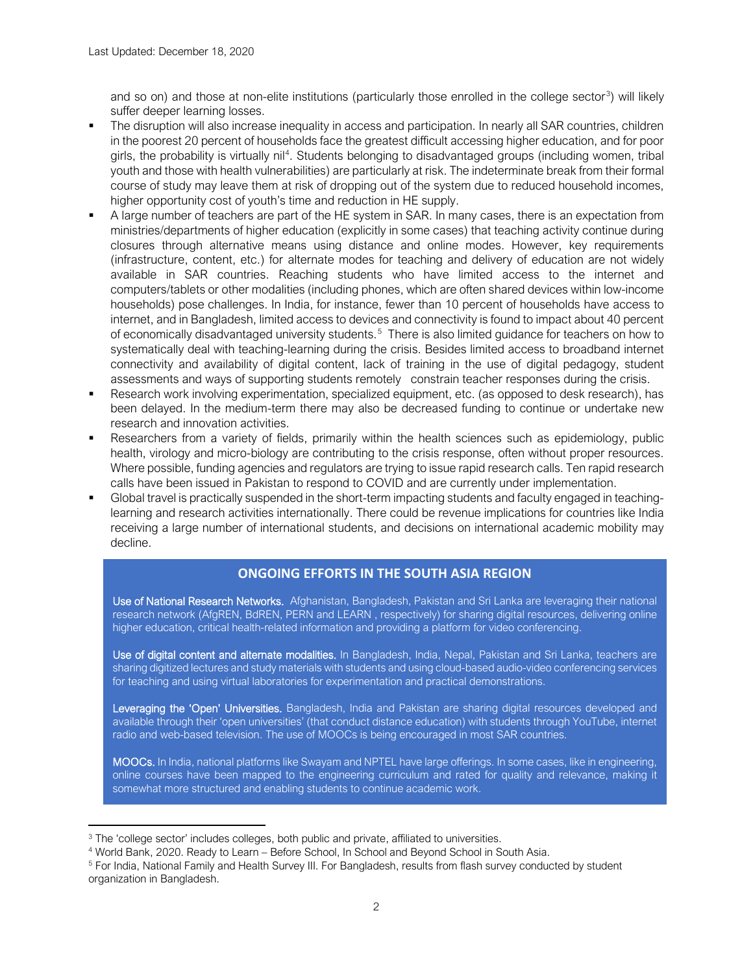and so on) and those at non-elite institutions (particularly those enrolled in the college sector<sup>[3](#page-1-0)</sup>) will likely suffer deeper learning losses.

- The disruption will also increase inequality in access and participation. In nearly all SAR countries, children in the poorest 20 percent of households face the greatest difficult accessing higher education, and for poor girls, the probability is virtually nil<sup>[4](#page-1-1)</sup>. Students belonging to disadvantaged groups (including women, tribal youth and those with health vulnerabilities) are particularly at risk. The indeterminate break from their formal course of study may leave them at risk of dropping out of the system due to reduced household incomes, higher opportunity cost of youth's time and reduction in HE supply.
- A large number of teachers are part of the HE system in SAR. In many cases, there is an expectation from ministries/departments of higher education (explicitly in some cases) that teaching activity continue during closures through alternative means using distance and online modes. However, key requirements (infrastructure, content, etc.) for alternate modes for teaching and delivery of education are not widely available in SAR countries. Reaching students who have limited access to the internet and computers/tablets or other modalities (including phones, which are often shared devices within low-income households) pose challenges. In India, for instance, fewer than 10 percent of households have access to internet, and in Bangladesh, limited access to devices and connectivity is found to impact about 40 percent of economically disadvantaged university students.<sup>[5](#page-1-2)</sup> There is also limited guidance for teachers on how to systematically deal with teaching-learning during the crisis. Besides limited access to broadband internet connectivity and availability of digital content, lack of training in the use of digital pedagogy, student assessments and ways of supporting students remotely constrain teacher responses during the crisis.
- Research work involving experimentation, specialized equipment, etc. (as opposed to desk research), has been delayed. In the medium-term there may also be decreased funding to continue or undertake new research and innovation activities.
- Researchers from a variety of fields, primarily within the health sciences such as epidemiology, public health, virology and micro-biology are contributing to the crisis response, often without proper resources. Where possible, funding agencies and regulators are trying to issue rapid research calls. Ten rapid research calls have been issued in Pakistan to respond to COVID and are currently under implementation.
- Global travel is practically suspended in the short-term impacting students and faculty engaged in teachinglearning and research activities internationally. There could be revenue implications for countries like India receiving a large number of international students, and decisions on international academic mobility may decline.

### **ONGOING EFFORTS IN THE SOUTH ASIA REGION**

Use of National Research Networks. Afghanistan, Bangladesh, Pakistan and Sri Lanka are leveraging their national research network (AfgREN, BdREN, PERN and LEARN , respectively) for sharing digital resources, delivering online higher education, critical health-related information and providing a platform for video conferencing.

Use of digital content and alternate modalities. In Bangladesh, India, Nepal, Pakistan and Sri Lanka, teachers are sharing digitized lectures and study materials with students and using cloud-based audio-video conferencing services for teaching and using virtual laboratories for experimentation and practical demonstrations.

Leveraging the 'Open' Universities. Bangladesh, India and Pakistan are sharing digital resources developed and available through their 'open universities' (that conduct distance education) with students through YouTube, internet radio and web-based television. The use of MOOCs is being encouraged in most SAR countries.

MOOCs. In India, national platforms like Swayam and NPTEL have large offerings. In some cases, like in engineering, online courses have been mapped to the engineering curriculum and rated for quality and relevance, making it somewhat more structured and enabling students to continue academic work.

<span id="page-1-0"></span><sup>&</sup>lt;sup>3</sup> The 'college sector' includes colleges, both public and private, affiliated to universities.

<span id="page-1-1"></span><sup>4</sup> World Bank, 2020. Ready to Learn – Before School, In School and Beyond School in South Asia.

<span id="page-1-2"></span><sup>5</sup> For India, National Family and Health Survey III. For Bangladesh, results from flash survey conducted by student organization in Bangladesh.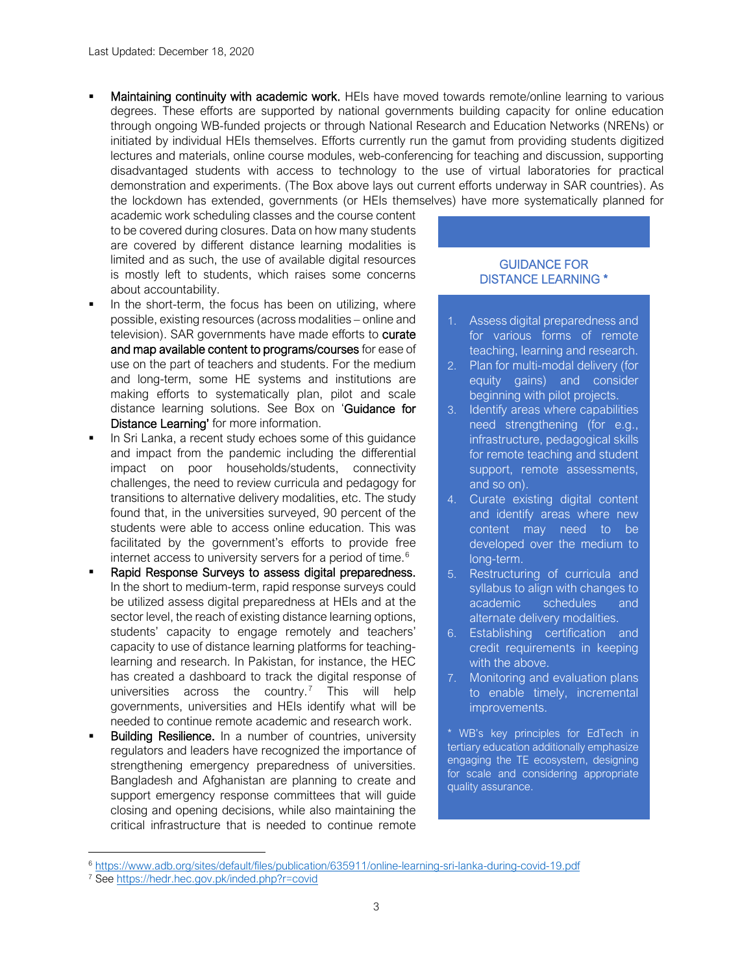Maintaining continuity with academic work. HEIs have moved towards remote/online learning to various degrees. These efforts are supported by national governments building capacity for online education through ongoing WB-funded projects or through National Research and Education Networks (NRENs) or initiated by individual HEIs themselves. Efforts currently run the gamut from providing students digitized lectures and materials, online course modules, web-conferencing for teaching and discussion, supporting disadvantaged students with access to technology to the use of virtual laboratories for practical demonstration and experiments. (The Box above lays out current efforts underway in SAR countries). As the lockdown has extended, governments (or HEIs themselves) have more systematically planned for

academic work scheduling classes and the course content to be covered during closures. Data on how many students are covered by different distance learning modalities is limited and as such, the use of available digital resources is mostly left to students, which raises some concerns about accountability.

- In the short-term, the focus has been on utilizing, where possible, existing resources (across modalities – online and television). SAR governments have made efforts to curate and map available content to programs/courses for ease of use on the part of teachers and students. For the medium and long-term, some HE systems and institutions are making efforts to systematically plan, pilot and scale distance learning solutions. See Box on 'Guidance for Distance Learning' for more information.
- In Sri Lanka, a recent study echoes some of this guidance and impact from the pandemic including the differential impact on poor households/students, connectivity challenges, the need to review curricula and pedagogy for transitions to alternative delivery modalities, etc. The study found that, in the universities surveyed, 90 percent of the students were able to access online education. This was facilitated by the government's efforts to provide free internet access to university servers for a period of time.<sup>[6](#page-2-0)</sup>
- Rapid Response Surveys to assess digital preparedness. In the short to medium-term, rapid response surveys could be utilized assess digital preparedness at HEIs and at the sector level, the reach of existing distance learning options, students' capacity to engage remotely and teachers' capacity to use of distance learning platforms for teachinglearning and research. In Pakistan, for instance, the HEC has created a dashboard to track the digital response of universities across the country.<sup>[7](#page-2-1)</sup> This will help governments, universities and HEIs identify what will be needed to continue remote academic and research work.
- Building Resilience. In a number of countries, university regulators and leaders have recognized the importance of strengthening emergency preparedness of universities. Bangladesh and Afghanistan are planning to create and support emergency response committees that will guide closing and opening decisions, while also maintaining the critical infrastructure that is needed to continue remote

#### GUIDANCE FOR DISTANCE LEARNING \*

- 1. Assess digital preparedness and for various forms of remote teaching, learning and research.
- 2. Plan for multi-modal delivery (for equity gains) and consider beginning with pilot projects.
- 3. Identify areas where capabilities need strengthening (for e.g., infrastructure, pedagogical skills for remote teaching and student support, remote assessments, and so on).
- 4. Curate existing digital content and identify areas where new content may need to be developed over the medium to long-term.
- 5. Restructuring of curricula and syllabus to align with changes to academic schedules and alternate delivery modalities.
- 6. Establishing certification and credit requirements in keeping with the above.
- 7. Monitoring and evaluation plans to enable timely, incremental improvements.

\* WB's key principles for EdTech in tertiary education additionally emphasize engaging the TE ecosystem, designing for scale and considering appropriate quality assurance.

<span id="page-2-1"></span><span id="page-2-0"></span><sup>6</sup> <https://www.adb.org/sites/default/files/publication/635911/online-learning-sri-lanka-during-covid-19.pdf>

<sup>7</sup> See<https://hedr.hec.gov.pk/inded.php?r=covid>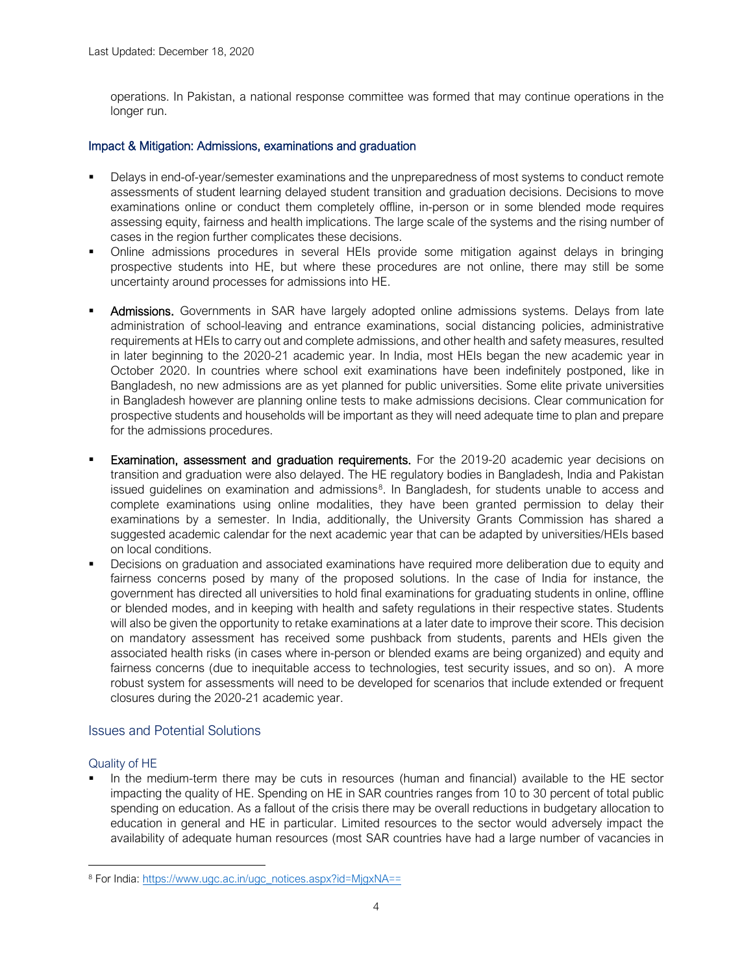operations. In Pakistan, a national response committee was formed that may continue operations in the longer run.

### Impact & Mitigation: Admissions, examinations and graduation

- Delays in end-of-year/semester examinations and the unpreparedness of most systems to conduct remote assessments of student learning delayed student transition and graduation decisions. Decisions to move examinations online or conduct them completely offline, in-person or in some blended mode requires assessing equity, fairness and health implications. The large scale of the systems and the rising number of cases in the region further complicates these decisions.
- Online admissions procedures in several HEIs provide some mitigation against delays in bringing prospective students into HE, but where these procedures are not online, there may still be some uncertainty around processes for admissions into HE.
- Admissions. Governments in SAR have largely adopted online admissions systems. Delays from late administration of school-leaving and entrance examinations, social distancing policies, administrative requirements at HEIs to carry out and complete admissions, and other health and safety measures, resulted in later beginning to the 2020-21 academic year. In India, most HEIs began the new academic year in October 2020. In countries where school exit examinations have been indefinitely postponed, like in Bangladesh, no new admissions are as yet planned for public universities. Some elite private universities in Bangladesh however are planning online tests to make admissions decisions. Clear communication for prospective students and households will be important as they will need adequate time to plan and prepare for the admissions procedures.
- Examination, assessment and graduation requirements. For the 2019-20 academic year decisions on transition and graduation were also delayed. The HE regulatory bodies in Bangladesh, India and Pakistan issued guidelines on examination and admissions<sup>[8](#page-3-0)</sup>. In Bangladesh, for students unable to access and complete examinations using online modalities, they have been granted permission to delay their examinations by a semester. In India, additionally, the University Grants Commission has shared a suggested academic calendar for the next academic year that can be adapted by universities/HEIs based on local conditions.
- Decisions on graduation and associated examinations have required more deliberation due to equity and fairness concerns posed by many of the proposed solutions. In the case of India for instance, the government has directed all universities to hold final examinations for graduating students in online, offline or blended modes, and in keeping with health and safety regulations in their respective states. Students will also be given the opportunity to retake examinations at a later date to improve their score. This decision on mandatory assessment has received some pushback from students, parents and HEIs given the associated health risks (in cases where in-person or blended exams are being organized) and equity and fairness concerns (due to inequitable access to technologies, test security issues, and so on). A more robust system for assessments will need to be developed for scenarios that include extended or frequent closures during the 2020-21 academic year.

### Issues and Potential Solutions

### Quality of HE

 In the medium-term there may be cuts in resources (human and financial) available to the HE sector impacting the quality of HE. Spending on HE in SAR countries ranges from 10 to 30 percent of total public spending on education. As a fallout of the crisis there may be overall reductions in budgetary allocation to education in general and HE in particular. Limited resources to the sector would adversely impact the availability of adequate human resources (most SAR countries have had a large number of vacancies in

<span id="page-3-0"></span><sup>8</sup> For India: [https://www.ugc.ac.in/ugc\\_notices.aspx?id=MjgxNA==](https://www.ugc.ac.in/ugc_notices.aspx?id=MjgxNA==)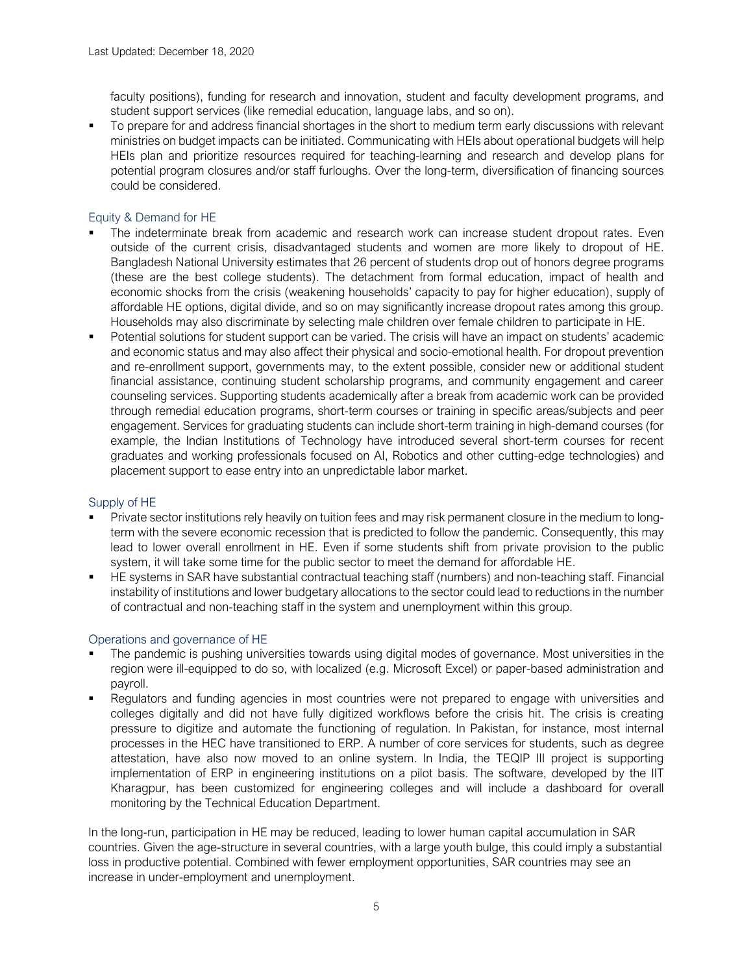faculty positions), funding for research and innovation, student and faculty development programs, and student support services (like remedial education, language labs, and so on).

 To prepare for and address financial shortages in the short to medium term early discussions with relevant ministries on budget impacts can be initiated. Communicating with HEIs about operational budgets will help HEIs plan and prioritize resources required for teaching-learning and research and develop plans for potential program closures and/or staff furloughs. Over the long-term, diversification of financing sources could be considered.

### Equity & Demand for HE

- The indeterminate break from academic and research work can increase student dropout rates. Even outside of the current crisis, disadvantaged students and women are more likely to dropout of HE. Bangladesh National University estimates that 26 percent of students drop out of honors degree programs (these are the best college students). The detachment from formal education, impact of health and economic shocks from the crisis (weakening households' capacity to pay for higher education), supply of affordable HE options, digital divide, and so on may significantly increase dropout rates among this group. Households may also discriminate by selecting male children over female children to participate in HE.
- Potential solutions for student support can be varied. The crisis will have an impact on students' academic and economic status and may also affect their physical and socio-emotional health. For dropout prevention and re-enrollment support, governments may, to the extent possible, consider new or additional student financial assistance, continuing student scholarship programs, and community engagement and career counseling services. Supporting students academically after a break from academic work can be provided through remedial education programs, short-term courses or training in specific areas/subjects and peer engagement. Services for graduating students can include short-term training in high-demand courses (for example, the Indian Institutions of Technology have introduced several short-term courses for recent graduates and working professionals focused on AI, Robotics and other cutting-edge technologies) and placement support to ease entry into an unpredictable labor market.

#### Supply of HE

- Private sector institutions rely heavily on tuition fees and may risk permanent closure in the medium to longterm with the severe economic recession that is predicted to follow the pandemic. Consequently, this may lead to lower overall enrollment in HE. Even if some students shift from private provision to the public system, it will take some time for the public sector to meet the demand for affordable HE.
- HE systems in SAR have substantial contractual teaching staff (numbers) and non-teaching staff. Financial instability of institutions and lower budgetary allocations to the sector could lead to reductions in the number of contractual and non-teaching staff in the system and unemployment within this group.

### Operations and governance of HE

- The pandemic is pushing universities towards using digital modes of governance. Most universities in the region were ill-equipped to do so, with localized (e.g. Microsoft Excel) or paper-based administration and payroll.
- Regulators and funding agencies in most countries were not prepared to engage with universities and colleges digitally and did not have fully digitized workflows before the crisis hit. The crisis is creating pressure to digitize and automate the functioning of regulation. In Pakistan, for instance, most internal processes in the HEC have transitioned to ERP. A number of core services for students, such as degree attestation, have also now moved to an online system. In India, the TEQIP III project is supporting implementation of ERP in engineering institutions on a pilot basis. The software, developed by the IIT Kharagpur, has been customized for engineering colleges and will include a dashboard for overall monitoring by the Technical Education Department.

In the long-run, participation in HE may be reduced, leading to lower human capital accumulation in SAR countries. Given the age-structure in several countries, with a large youth bulge, this could imply a substantial loss in productive potential. Combined with fewer employment opportunities, SAR countries may see an increase in under-employment and unemployment.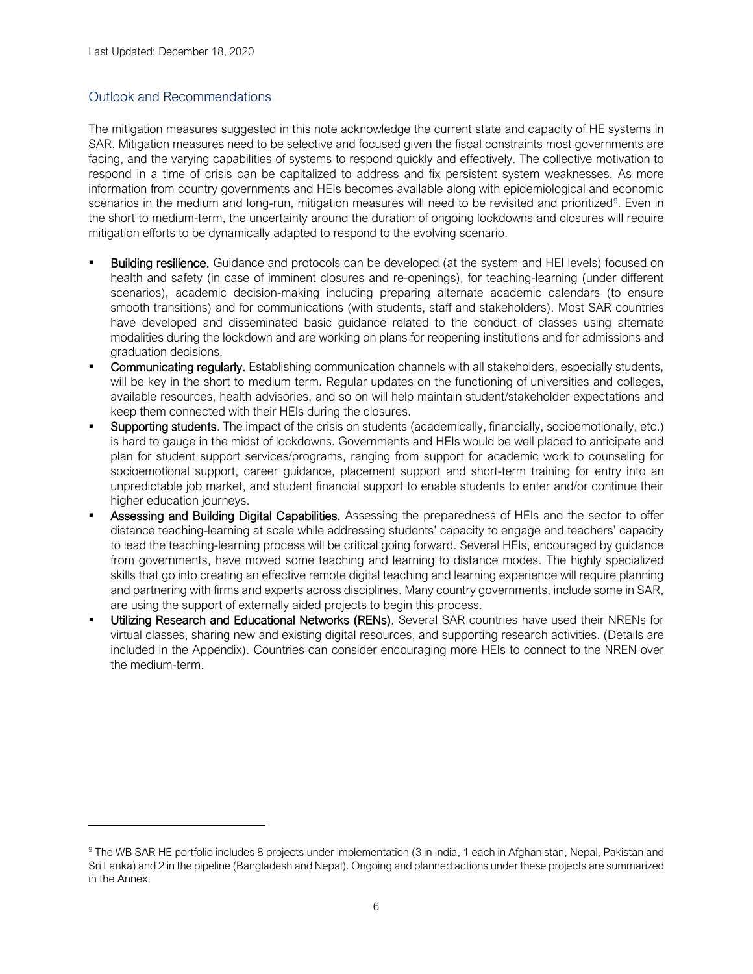### Outlook and Recommendations

The mitigation measures suggested in this note acknowledge the current state and capacity of HE systems in SAR. Mitigation measures need to be selective and focused given the fiscal constraints most governments are facing, and the varying capabilities of systems to respond quickly and effectively. The collective motivation to respond in a time of crisis can be capitalized to address and fix persistent system weaknesses. As more information from country governments and HEIs becomes available along with epidemiological and economic scenarios in the medium and long-run, mitigation measures will need to be revisited and prioritized<sup>[9](#page-5-0)</sup>. Even in the short to medium-term, the uncertainty around the duration of ongoing lockdowns and closures will require mitigation efforts to be dynamically adapted to respond to the evolving scenario.

- Building resilience. Guidance and protocols can be developed (at the system and HEI levels) focused on health and safety (in case of imminent closures and re-openings), for teaching-learning (under different scenarios), academic decision-making including preparing alternate academic calendars (to ensure smooth transitions) and for communications (with students, staff and stakeholders). Most SAR countries have developed and disseminated basic guidance related to the conduct of classes using alternate modalities during the lockdown and are working on plans for reopening institutions and for admissions and graduation decisions.
- Communicating regularly. Establishing communication channels with all stakeholders, especially students, will be key in the short to medium term. Regular updates on the functioning of universities and colleges, available resources, health advisories, and so on will help maintain student/stakeholder expectations and keep them connected with their HEIs during the closures.
- Supporting students. The impact of the crisis on students (academically, financially, socioemotionally, etc.) is hard to gauge in the midst of lockdowns. Governments and HEIs would be well placed to anticipate and plan for student support services/programs, ranging from support for academic work to counseling for socioemotional support, career guidance, placement support and short-term training for entry into an unpredictable job market, and student financial support to enable students to enter and/or continue their higher education journeys.
- Assessing and Building Digital Capabilities. Assessing the preparedness of HEIs and the sector to offer distance teaching-learning at scale while addressing students' capacity to engage and teachers' capacity to lead the teaching-learning process will be critical going forward. Several HEIs, encouraged by guidance from governments, have moved some teaching and learning to distance modes. The highly specialized skills that go into creating an effective remote digital teaching and learning experience will require planning and partnering with firms and experts across disciplines. Many country governments, include some in SAR, are using the support of externally aided projects to begin this process.
- Utilizing Research and Educational Networks (RENs). Several SAR countries have used their NRENs for virtual classes, sharing new and existing digital resources, and supporting research activities. (Details are included in the Appendix). Countries can consider encouraging more HEIs to connect to the NREN over the medium-term.

<span id="page-5-0"></span><sup>9</sup> The WB SAR HE portfolio includes 8 projects under implementation (3 in India, 1 each in Afghanistan, Nepal, Pakistan and Sri Lanka) and 2 in the pipeline (Bangladesh and Nepal). Ongoing and planned actions under these projects are summarized in the Annex.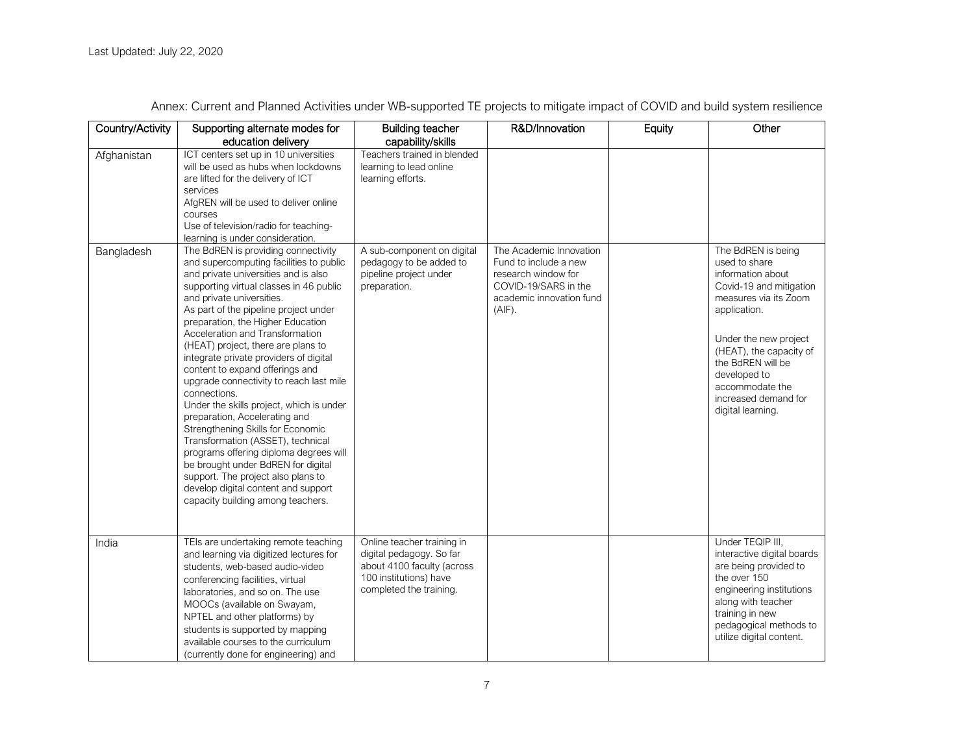| Country/Activity          | Supporting alternate modes for                                                                                                                                                                                                                                                                                                                                                                                                                                                                                                                                                                                                                                                                                                                                                                                                                                                                                                                                                                                                                                                                                                                  | <b>Building teacher</b>                                                                                                                                                                             | R&D/Innovation                                                                                                                           | Equity | Other                                                                                                                                                                                                                                                                                 |
|---------------------------|-------------------------------------------------------------------------------------------------------------------------------------------------------------------------------------------------------------------------------------------------------------------------------------------------------------------------------------------------------------------------------------------------------------------------------------------------------------------------------------------------------------------------------------------------------------------------------------------------------------------------------------------------------------------------------------------------------------------------------------------------------------------------------------------------------------------------------------------------------------------------------------------------------------------------------------------------------------------------------------------------------------------------------------------------------------------------------------------------------------------------------------------------|-----------------------------------------------------------------------------------------------------------------------------------------------------------------------------------------------------|------------------------------------------------------------------------------------------------------------------------------------------|--------|---------------------------------------------------------------------------------------------------------------------------------------------------------------------------------------------------------------------------------------------------------------------------------------|
| Afghanistan<br>Bangladesh | education delivery<br>ICT centers set up in 10 universities<br>will be used as hubs when lockdowns<br>are lifted for the delivery of ICT<br>services<br>AfgREN will be used to deliver online<br>courses<br>Use of television/radio for teaching-<br>learning is under consideration.<br>The BdREN is providing connectivity<br>and supercomputing facilities to public<br>and private universities and is also<br>supporting virtual classes in 46 public<br>and private universities.<br>As part of the pipeline project under<br>preparation, the Higher Education<br>Acceleration and Transformation<br>(HEAT) project, there are plans to<br>integrate private providers of digital<br>content to expand offerings and<br>upgrade connectivity to reach last mile<br>connections.<br>Under the skills project, which is under<br>preparation, Accelerating and<br>Strengthening Skills for Economic<br>Transformation (ASSET), technical<br>programs offering diploma degrees will<br>be brought under BdREN for digital<br>support. The project also plans to<br>develop digital content and support<br>capacity building among teachers. | capability/skills<br>Teachers trained in blended<br>learning to lead online<br>learning efforts.<br>A sub-component on digital<br>pedagogy to be added to<br>pipeline project under<br>preparation. | The Academic Innovation<br>Fund to include a new<br>research window for<br>COVID-19/SARS in the<br>academic innovation fund<br>$(AIF)$ . |        | The BdREN is being<br>used to share<br>information about<br>Covid-19 and mitigation<br>measures via its Zoom<br>application.<br>Under the new project<br>(HEAT), the capacity of<br>the BdREN will be<br>developed to<br>accommodate the<br>increased demand for<br>digital learning. |
| India                     | TEIs are undertaking remote teaching<br>and learning via digitized lectures for<br>students, web-based audio-video<br>conferencing facilities, virtual<br>laboratories, and so on. The use<br>MOOCs (available on Swayam,<br>NPTEL and other platforms) by<br>students is supported by mapping<br>available courses to the curriculum<br>(currently done for engineering) and                                                                                                                                                                                                                                                                                                                                                                                                                                                                                                                                                                                                                                                                                                                                                                   | Online teacher training in<br>digital pedagogy. So far<br>about 4100 faculty (across<br>100 institutions) have<br>completed the training.                                                           |                                                                                                                                          |        | Under TEQIP III.<br>interactive digital boards<br>are being provided to<br>the over 150<br>engineering institutions<br>along with teacher<br>training in new<br>pedagogical methods to<br>utilize digital content.                                                                    |

Annex: Current and Planned Activities under WB-supported TE projects to mitigate impact of COVID and build system resilience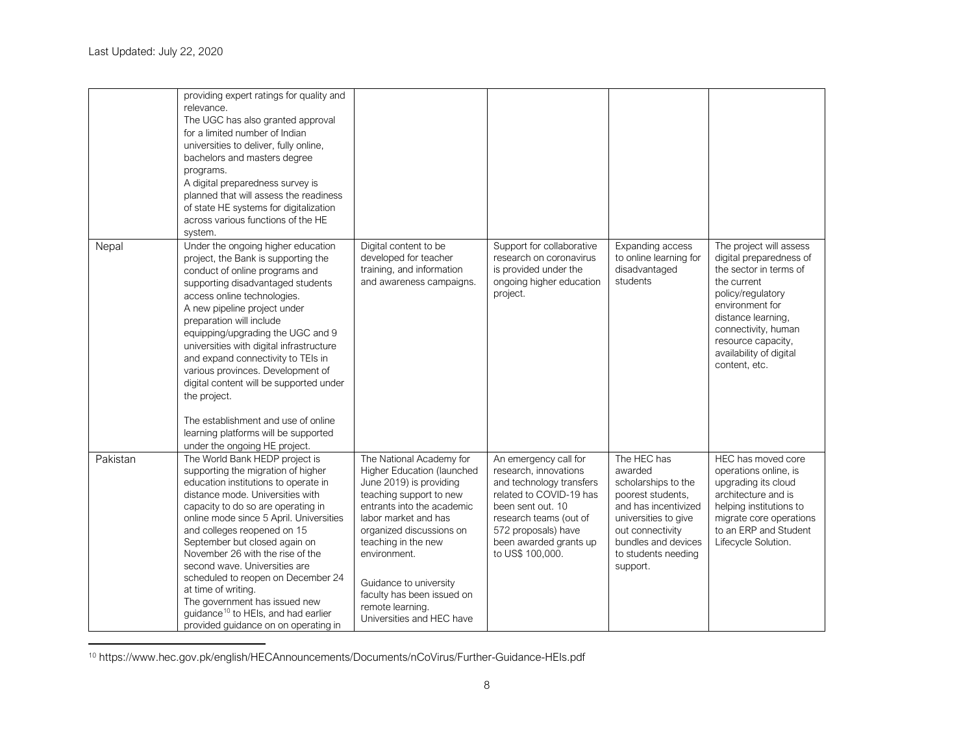<span id="page-7-0"></span>

|          | providing expert ratings for quality and<br>relevance.<br>The UGC has also granted approval<br>for a limited number of Indian<br>universities to deliver, fully online,<br>bachelors and masters degree<br>programs.<br>A digital preparedness survey is<br>planned that will assess the readiness<br>of state HE systems for digitalization<br>across various functions of the HE<br>system.                                                                                                                                                                                      |                                                                                                                                                                                                                                                                                                                                                |                                                                                                                                                                                                                           |                                                                                                                                                                                                  |                                                                                                                                                                                                                                                    |
|----------|------------------------------------------------------------------------------------------------------------------------------------------------------------------------------------------------------------------------------------------------------------------------------------------------------------------------------------------------------------------------------------------------------------------------------------------------------------------------------------------------------------------------------------------------------------------------------------|------------------------------------------------------------------------------------------------------------------------------------------------------------------------------------------------------------------------------------------------------------------------------------------------------------------------------------------------|---------------------------------------------------------------------------------------------------------------------------------------------------------------------------------------------------------------------------|--------------------------------------------------------------------------------------------------------------------------------------------------------------------------------------------------|----------------------------------------------------------------------------------------------------------------------------------------------------------------------------------------------------------------------------------------------------|
| Nepal    | Under the ongoing higher education<br>project, the Bank is supporting the<br>conduct of online programs and<br>supporting disadvantaged students<br>access online technologies.<br>A new pipeline project under<br>preparation will include<br>equipping/upgrading the UGC and 9<br>universities with digital infrastructure<br>and expand connectivity to TEIs in<br>various provinces. Development of<br>digital content will be supported under<br>the project.<br>The establishment and use of online<br>learning platforms will be supported<br>under the ongoing HE project. | Digital content to be<br>developed for teacher<br>training, and information<br>and awareness campaigns.                                                                                                                                                                                                                                        | Support for collaborative<br>research on coronavirus<br>is provided under the<br>ongoing higher education<br>project.                                                                                                     | Expanding access<br>to online learning for<br>disadvantaged<br>students                                                                                                                          | The project will assess<br>digital preparedness of<br>the sector in terms of<br>the current<br>policy/regulatory<br>environment for<br>distance learning,<br>connectivity, human<br>resource capacity,<br>availability of digital<br>content, etc. |
| Pakistan | The World Bank HEDP project is<br>supporting the migration of higher<br>education institutions to operate in<br>distance mode. Universities with<br>capacity to do so are operating in<br>online mode since 5 April. Universities<br>and colleges reopened on 15<br>September but closed again on<br>November 26 with the rise of the<br>second wave. Universities are<br>scheduled to reopen on December 24<br>at time of writing.<br>The government has issued new<br>guidance <sup>10</sup> to HEIs, and had earlier<br>provided guidance on on operating in                    | The National Academy for<br>Higher Education (launched<br>June 2019) is providing<br>teaching support to new<br>entrants into the academic<br>labor market and has<br>organized discussions on<br>teaching in the new<br>environment.<br>Guidance to university<br>faculty has been issued on<br>remote learning.<br>Universities and HEC have | An emergency call for<br>research, innovations<br>and technology transfers<br>related to COVID-19 has<br>been sent out. 10<br>research teams (out of<br>572 proposals) have<br>been awarded grants up<br>to US\$ 100,000. | The HEC has<br>awarded<br>scholarships to the<br>poorest students.<br>and has incentivized<br>universities to give<br>out connectivity<br>bundles and devices<br>to students needing<br>support. | HEC has moved core<br>operations online, is<br>upgrading its cloud<br>architecture and is<br>helping institutions to<br>migrate core operations<br>to an ERP and Student<br>Lifecycle Solution.                                                    |

<sup>10</sup> https://www.hec.gov.pk/english/HECAnnouncements/Documents/nCoVirus/Further-Guidance-HEIs.pdf